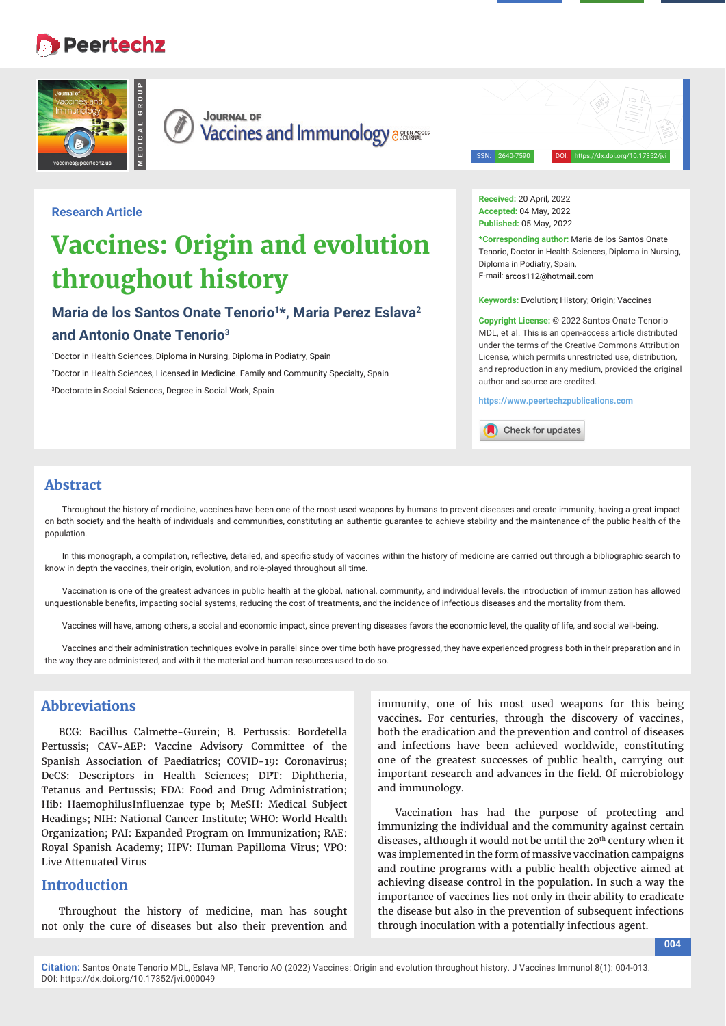## **Peertechz**





**JOURNAL OF Vaccines and Immunology assessed value of** 

ISSN: 2640-7590 DOI: https://dx.doi.org/10.17352/jvi

## **Research Article**

# **Vaccines: Origin and evolution throughout history**

## Maria de los Santos Onate Tenorio<sup>1\*</sup>, Maria Perez Eslava<sup>2</sup> **and Antonio Onate Tenorio3**

1 Doctor in Health Sciences, Diploma in Nursing, Diploma in Podiatry, Spain 2 Doctor in Health Sciences, Licensed in Medicine. Family and Community Specialty, Spain 3 Doctorate in Social Sciences, Degree in Social Work, Spain

**Received:** 20 April, 2022 **Accepted:** 04 May, 2022 **Published:** 05 May, 2022

**\*Corresponding author:** Maria de los Santos Onate Tenorio, Doctor in Health Sciences, Diploma in Nursing, Diploma in Podiatry, Spain, E-mail: arcos112@hotmail.com

**Keywords:** Evolution; History; Origin; Vaccines

**Copyright License:** © 2022 Santos Onate Tenorio MDL, et al. This is an open-access article distributed under the terms of the Creative Commons Attribution License, which permits unrestricted use, distribution, and reproduction in any medium, provided the original author and source are credited.

**https://www.peertechzpublications.com**

Check for updates

## **Abstract**

Throughout the history of medicine, vaccines have been one of the most used weapons by humans to prevent diseases and create immunity, having a great impact on both society and the health of individuals and communities, constituting an authentic guarantee to achieve stability and the maintenance of the public health of the population.

In this monograph, a compilation, reflective, detailed, and specific study of vaccines within the history of medicine are carried out through a bibliographic search to know in depth the vaccines, their origin, evolution, and role-played throughout all time.

Vaccination is one of the greatest advances in public health at the global, national, community, and individual levels, the introduction of immunization has allowed unquestionable benefits, impacting social systems, reducing the cost of treatments, and the incidence of infectious diseases and the mortality from them.

Vaccines will have, among others, a social and economic impact, since preventing diseases favors the economic level, the quality of life, and social well-being.

Vaccines and their administration techniques evolve in parallel since over time both have progressed, they have experienced progress both in their preparation and in the way they are administered, and with it the material and human resources used to do so.

## **Abbreviations**

BCG: Bacillus Calmette-Gurein; B. Pertussis: Bordetella Pertussis; CAV-AEP: Vaccine Advisory Committee of the Spanish Association of Paediatrics; COVID-19: Coronavirus; DeCS: Descriptors in Health Sciences; DPT: Diphtheria, Tetanus and Pertussis; FDA: Food and Drug Administration; Hib: HaemophilusInfluenzae type b; MeSH: Medical Subject Headings; NIH: National Cancer Institute; WHO: World Health Organization; PAI: Expanded Program on Immunization; RAE: Royal Spanish Academy; HPV: Human Papilloma Virus; VPO: Live Attenuated Virus

## **Introduction**

Throughout the history of medicine, man has sought not only the cure of diseases but also their prevention and

immunity, one of his most used weapons for this being vaccines. For centuries, through the discovery of vaccines, both the eradication and the prevention and control of diseases and infections have been achieved worldwide, constituting one of the greatest successes of public health, carrying out important research and advances in the field. Of microbiology and immunology.

Vaccination has had the purpose of protecting and immunizing the individual and the community against certain diseases, although it would not be until the 20<sup>th</sup> century when it was implemented in the form of massive vaccination campaigns and routine programs with a public health objective aimed at achieving disease control in the population. In such a way the importance of vaccines lies not only in their ability to eradicate the disease but also in the prevention of subsequent infections through inoculation with a potentially infectious agent.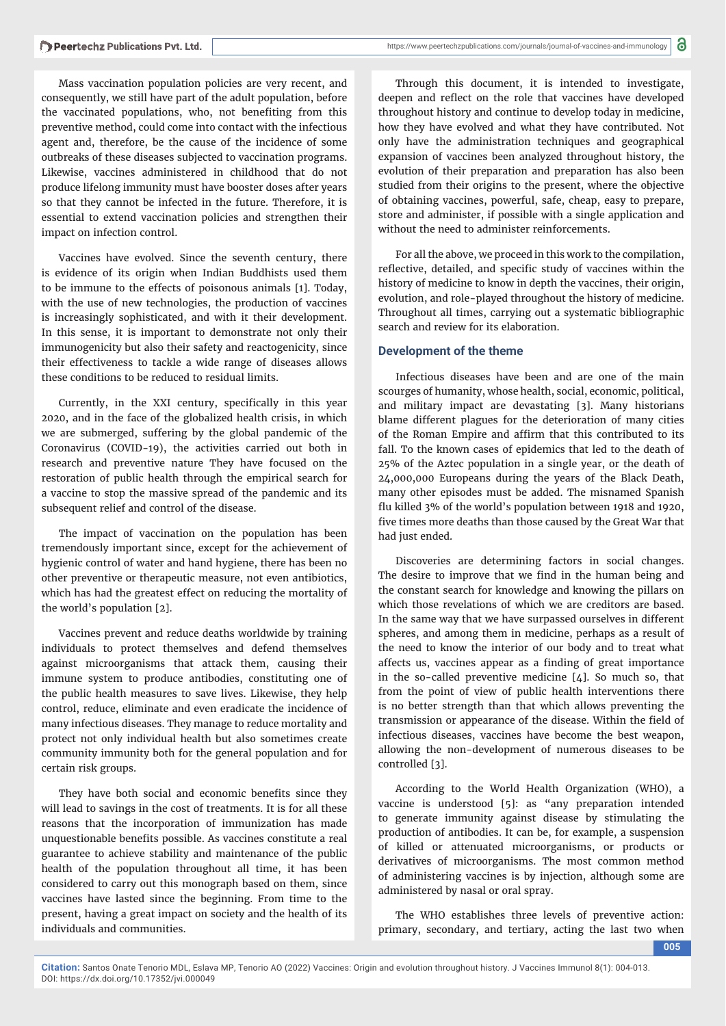Mass vaccination population policies are very recent, and consequently, we still have part of the adult population, before the vaccinated populations, who, not benefiting from this preventive method, could come into contact with the infectious agent and, therefore, be the cause of the incidence of some outbreaks of these diseases subjected to vaccination programs. Likewise, vaccines administered in childhood that do not produce lifelong immunity must have booster doses after years so that they cannot be infected in the future. Therefore, it is essential to extend vaccination policies and strengthen their impact on infection control.

Vaccines have evolved. Since the seventh century, there is evidence of its origin when Indian Buddhists used them to be immune to the effects of poisonous animals [1]. Today, with the use of new technologies, the production of vaccines is increasingly sophisticated, and with it their development. In this sense, it is important to demonstrate not only their immunogenicity but also their safety and reactogenicity, since their effectiveness to tackle a wide range of diseases allows these conditions to be reduced to residual limits.

Currently, in the XXI century, specifically in this year 2020, and in the face of the globalized health crisis, in which we are submerged, suffering by the global pandemic of the Coronavirus (COVID-19), the activities carried out both in research and preventive nature They have focused on the restoration of public health through the empirical search for a vaccine to stop the massive spread of the pandemic and its subsequent relief and control of the disease.

The impact of vaccination on the population has been tremendously important since, except for the achievement of hygienic control of water and hand hygiene, there has been no other preventive or therapeutic measure, not even antibiotics, which has had the greatest effect on reducing the mortality of the world's population [2].

Vaccines prevent and reduce deaths worldwide by training individuals to protect themselves and defend themselves against microorganisms that attack them, causing their immune system to produce antibodies, constituting one of the public health measures to save lives. Likewise, they help control, reduce, eliminate and even eradicate the incidence of many infectious diseases. They manage to reduce mortality and protect not only individual health but also sometimes create community immunity both for the general population and for certain risk groups.

They have both social and economic benefits since they will lead to savings in the cost of treatments. It is for all these reasons that the incorporation of immunization has made unquestionable benefits possible. As vaccines constitute a real guarantee to achieve stability and maintenance of the public health of the population throughout all time, it has been considered to carry out this monograph based on them, since vaccines have lasted since the beginning. From time to the present, having a great impact on society and the health of its individuals and communities.

Through this document, it is intended to investigate, deepen and reflect on the role that vaccines have developed throughout history and continue to develop today in medicine, how they have evolved and what they have contributed. Not only have the administration techniques and geographical expansion of vaccines been analyzed throughout history, the evolution of their preparation and preparation has also been studied from their origins to the present, where the objective of obtaining vaccines, powerful, safe, cheap, easy to prepare, store and administer, if possible with a single application and without the need to administer reinforcements.

For all the above, we proceed in this work to the compilation, reflective, detailed, and specific study of vaccines within the history of medicine to know in depth the vaccines, their origin, evolution, and role-played throughout the history of medicine. Throughout all times, carrying out a systematic bibliographic search and review for its elaboration.

#### **Development of the theme**

Infectious diseases have been and are one of the main scourges of humanity, whose health, social, economic, political, and military impact are devastating [3]. Many historians blame different plagues for the deterioration of many cities of the Roman Empire and affirm that this contributed to its fall. To the known cases of epidemics that led to the death of 25% of the Aztec population in a single year, or the death of 24,000,000 Europeans during the years of the Black Death, many other episodes must be added. The misnamed Spanish flu killed 3% of the world's population between 1918 and 1920, five times more deaths than those caused by the Great War that had just ended.

Discoveries are determining factors in social changes. The desire to improve that we find in the human being and the constant search for knowledge and knowing the pillars on which those revelations of which we are creditors are based. In the same way that we have surpassed ourselves in different spheres, and among them in medicine, perhaps as a result of the need to know the interior of our body and to treat what affects us, vaccines appear as a finding of great importance in the so-called preventive medicine [4]. So much so, that from the point of view of public health interventions there is no better strength than that which allows preventing the transmission or appearance of the disease. Within the field of infectious diseases, vaccines have become the best weapon, allowing the non-development of numerous diseases to be controlled [3].

According to the World Health Organization (WHO), a vaccine is understood [5]: as "any preparation intended to generate immunity against disease by stimulating the production of antibodies. It can be, for example, a suspension of killed or attenuated microorganisms, or products or derivatives of microorganisms. The most common method of administering vaccines is by injection, although some are administered by nasal or oral spray.

The WHO establishes three levels of preventive action: primary, secondary, and tertiary, acting the last two when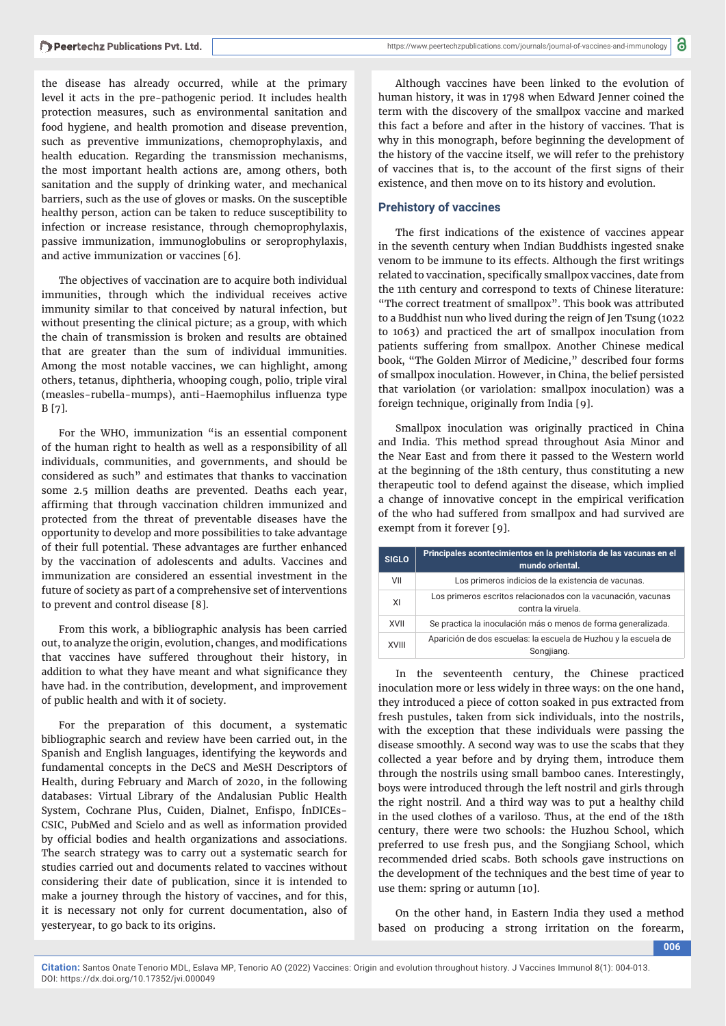the disease has already occurred, while at the primary level it acts in the pre-pathogenic period. It includes health protection measures, such as environmental sanitation and food hygiene, and health promotion and disease prevention, such as preventive immunizations, chemoprophylaxis, and health education. Regarding the transmission mechanisms, the most important health actions are, among others, both sanitation and the supply of drinking water, and mechanical barriers, such as the use of gloves or masks. On the susceptible healthy person, action can be taken to reduce susceptibility to infection or increase resistance, through chemoprophylaxis, passive immunization, immunoglobulins or seroprophylaxis, and active immunization or vaccines [6].

The objectives of vaccination are to acquire both individual immunities, through which the individual receives active immunity similar to that conceived by natural infection, but without presenting the clinical picture; as a group, with which the chain of transmission is broken and results are obtained that are greater than the sum of individual immunities. Among the most notable vaccines, we can highlight, among others, tetanus, diphtheria, whooping cough, polio, triple viral (measles-rubella-mumps), anti-Haemophilus influenza type B [7].

For the WHO, immunization "is an essential component of the human right to health as well as a responsibility of all individuals, communities, and governments, and should be considered as such" and estimates that thanks to vaccination some 2.5 million deaths are prevented. Deaths each year, affirming that through vaccination children immunized and protected from the threat of preventable diseases have the opportunity to develop and more possibilities to take advantage of their full potential. These advantages are further enhanced by the vaccination of adolescents and adults. Vaccines and immunization are considered an essential investment in the future of society as part of a comprehensive set of interventions to prevent and control disease [8].

From this work, a bibliographic analysis has been carried out, to analyze the origin, evolution, changes, and modifications that vaccines have suffered throughout their history, in addition to what they have meant and what significance they have had. in the contribution, development, and improvement of public health and with it of society.

For the preparation of this document, a systematic bibliographic search and review have been carried out, in the Spanish and English languages, identifying the keywords and fundamental concepts in the DeCS and MeSH Descriptors of Health, during February and March of 2020, in the following databases: Virtual Library of the Andalusian Public Health System, Cochrane Plus, Cuiden, Dialnet, Enfispo, ÍnDICEs-CSIC, PubMed and Scielo and as well as information provided by official bodies and health organizations and associations. The search strategy was to carry out a systematic search for studies carried out and documents related to vaccines without considering their date of publication, since it is intended to make a journey through the history of vaccines, and for this, it is necessary not only for current documentation, also of yesteryear, to go back to its origins.

Although vaccines have been linked to the evolution of human history, it was in 1798 when Edward Jenner coined the term with the discovery of the smallpox vaccine and marked this fact a before and after in the history of vaccines. That is why in this monograph, before beginning the development of the history of the vaccine itself, we will refer to the prehistory of vaccines that is, to the account of the first signs of their existence, and then move on to its history and evolution.

### **Prehistory of vaccines**

The first indications of the existence of vaccines appear in the seventh century when Indian Buddhists ingested snake venom to be immune to its effects. Although the first writings related to vaccination, specifically smallpox vaccines, date from the 11th century and correspond to texts of Chinese literature: "The correct treatment of smallpox". This book was attributed to a Buddhist nun who lived during the reign of Jen Tsung (1022 to 1063) and practiced the art of smallpox inoculation from patients suffering from smallpox. Another Chinese medical book, "The Golden Mirror of Medicine," described four forms of smallpox inoculation. However, in China, the belief persisted that variolation (or variolation: smallpox inoculation) was a foreign technique, originally from India [9].

Smallpox inoculation was originally practiced in China and India. This method spread throughout Asia Minor and the Near East and from there it passed to the Western world at the beginning of the 18th century, thus constituting a new therapeutic tool to defend against the disease, which implied a change of innovative concept in the empirical verification of the who had suffered from smallpox and had survived are exempt from it forever [9].

| <b>SIGLO</b> | Principales acontecimientos en la prehistoria de las vacunas en el<br>mundo oriental. |
|--------------|---------------------------------------------------------------------------------------|
| VII          | Los primeros indicios de la existencia de vacunas.                                    |
| XI           | Los primeros escritos relacionados con la vacunación, vacunas<br>contra la viruela.   |
| XVII         | Se practica la inoculación más o menos de forma generalizada.                         |
| <b>XVIII</b> | Aparición de dos escuelas: la escuela de Huzhou y la escuela de<br>Songjiang.         |

In the seventeenth century, the Chinese practiced inoculation more or less widely in three ways: on the one hand, they introduced a piece of cotton soaked in pus extracted from fresh pustules, taken from sick individuals, into the nostrils, with the exception that these individuals were passing the disease smoothly. A second way was to use the scabs that they collected a year before and by drying them, introduce them through the nostrils using small bamboo canes. Interestingly, boys were introduced through the left nostril and girls through the right nostril. And a third way was to put a healthy child in the used clothes of a variloso. Thus, at the end of the 18th century, there were two schools: the Huzhou School, which preferred to use fresh pus, and the Songjiang School, which recommended dried scabs. Both schools gave instructions on the development of the techniques and the best time of year to use them: spring or autumn [10].

On the other hand, in Eastern India they used a method based on producing a strong irritation on the forearm,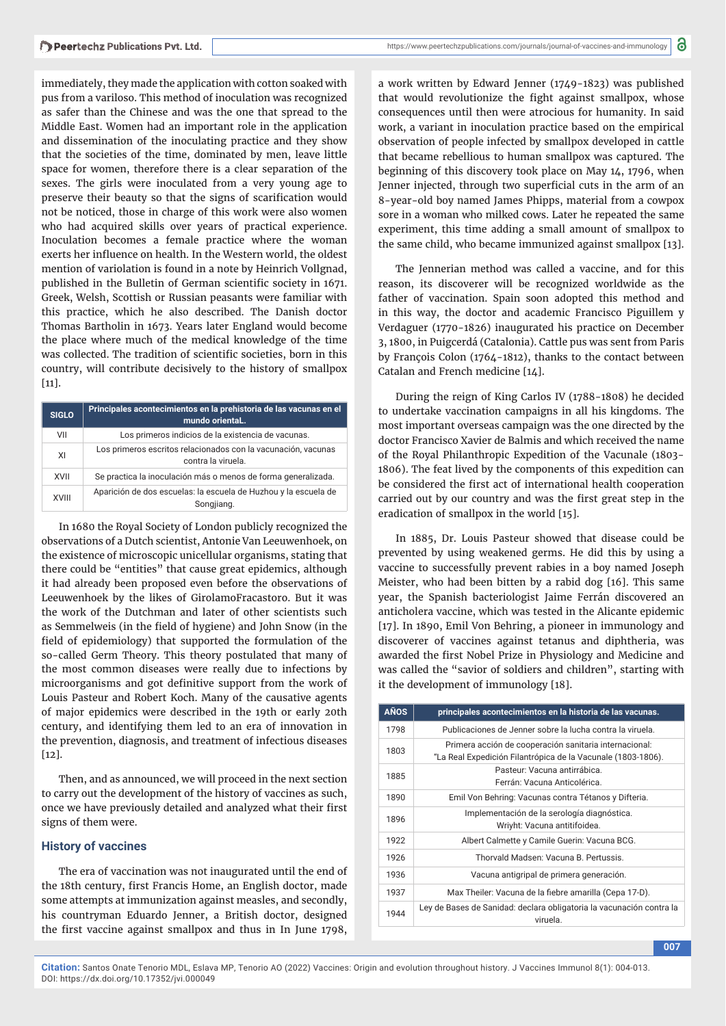immediately, they made the application with cotton soaked with pus from a variloso. This method of inoculation was recognized as safer than the Chinese and was the one that spread to the Middle East. Women had an important role in the application and dissemination of the inoculating practice and they show that the societies of the time, dominated by men, leave little space for women, therefore there is a clear separation of the sexes. The girls were inoculated from a very young age to preserve their beauty so that the signs of scarification would not be noticed, those in charge of this work were also women who had acquired skills over years of practical experience. Inoculation becomes a female practice where the woman exerts her influence on health. In the Western world, the oldest mention of variolation is found in a note by Heinrich Vollgnad, published in the Bulletin of German scientific society in 1671. Greek, Welsh, Scottish or Russian peasants were familiar with this practice, which he also described. The Danish doctor Thomas Bartholin in 1673. Years later England would become the place where much of the medical knowledge of the time was collected. The tradition of scientific societies, born in this country, will contribute decisively to the history of smallpox  $[11]$ .

| <b>SIGLO</b> | Principales acontecimientos en la prehistoria de las vacunas en el<br>mundo oriental |
|--------------|--------------------------------------------------------------------------------------|
| VII          | Los primeros indicios de la existencia de vacunas.                                   |
| XI           | Los primeros escritos relacionados con la vacunación, vacunas<br>contra la viruela.  |
| XVII         | Se practica la inoculación más o menos de forma generalizada.                        |
| <b>XVIII</b> | Aparición de dos escuelas: la escuela de Huzhou y la escuela de<br>Songjiang.        |

In 1680 the Royal Society of London publicly recognized the observations of a Dutch scientist, Antonie Van Leeuwenhoek, on the existence of microscopic unicellular organisms, stating that there could be "entities" that cause great epidemics, although it had already been proposed even before the observations of Leeuwenhoek by the likes of GirolamoFracastoro. But it was the work of the Dutchman and later of other scientists such as Semmelweis (in the field of hygiene) and John Snow (in the field of epidemiology) that supported the formulation of the so-called Germ Theory. This theory postulated that many of the most common diseases were really due to infections by microorganisms and got definitive support from the work of Louis Pasteur and Robert Koch. Many of the causative agents of major epidemics were described in the 19th or early 20th century, and identifying them led to an era of innovation in the prevention, diagnosis, and treatment of infectious diseases [12].

Then, and as announced, we will proceed in the next section to carry out the development of the history of vaccines as such, once we have previously detailed and analyzed what their first signs of them were.

#### **History of vaccines**

The era of vaccination was not inaugurated until the end of the 18th century, first Francis Home, an English doctor, made some attempts at immunization against measles, and secondly, his countryman Eduardo Jenner, a British doctor, designed the first vaccine against smallpox and thus in In June 1798,

a work written by Edward Jenner (1749-1823) was published that would revolutionize the fight against smallpox, whose consequences until then were atrocious for humanity. In said work, a variant in inoculation practice based on the empirical observation of people infected by smallpox developed in cattle that became rebellious to human smallpox was captured. The beginning of this discovery took place on May 14, 1796, when Jenner injected, through two superficial cuts in the arm of an 8-year-old boy named James Phipps, material from a cowpox sore in a woman who milked cows. Later he repeated the same experiment, this time adding a small amount of smallpox to the same child, who became immunized against smallpox [13].

The Jennerian method was called a vaccine, and for this reason, its discoverer will be recognized worldwide as the father of vaccination. Spain soon adopted this method and in this way, the doctor and academic Francisco Piguillem y Verdaguer (1770-1826) inaugurated his practice on December 3, 1800, in Puigcerdá (Catalonia). Cattle pus was sent from Paris by François Colon (1764-1812), thanks to the contact between Catalan and French medicine [14].

During the reign of King Carlos IV (1788-1808) he decided to undertake vaccination campaigns in all his kingdoms. The most important overseas campaign was the one directed by the doctor Francisco Xavier de Balmis and which received the name of the Royal Philanthropic Expedition of the Vacunale (1803- 1806). The feat lived by the components of this expedition can be considered the first act of international health cooperation carried out by our country and was the first great step in the eradication of smallpox in the world [15].

In 1885, Dr. Louis Pasteur showed that disease could be prevented by using weakened germs. He did this by using a vaccine to successfully prevent rabies in a boy named Joseph Meister, who had been bitten by a rabid dog [16]. This same year, the Spanish bacteriologist Jaime Ferrán discovered an anticholera vaccine, which was tested in the Alicante epidemic [17]. In 1890, Emil Von Behring, a pioneer in immunology and discoverer of vaccines against tetanus and diphtheria, was awarded the first Nobel Prize in Physiology and Medicine and was called the "savior of soldiers and children", starting with it the development of immunology [18].

| <b>AÑOS</b> | principales acontecimientos en la historia de las vacunas.                                                             |
|-------------|------------------------------------------------------------------------------------------------------------------------|
| 1798        | Publicaciones de Jenner sobre la lucha contra la viruela.                                                              |
| 1803        | Primera acción de cooperación sanitaria internacional:<br>"La Real Expedición Filantrópica de la Vacunale (1803-1806). |
| 1885        | Pasteur: Vacuna antirrábica.<br>Ferrán: Vacuna Anticolérica.                                                           |
| 1890        | Emil Von Behring: Vacunas contra Tétanos y Difteria.                                                                   |
| 1896        | Implementación de la serología diagnóstica.<br>Wriyht: Vacuna antitifoidea.                                            |
| 1922        | Albert Calmette y Camile Guerin: Vacuna BCG.                                                                           |
| 1926        | Thorvald Madsen: Vacuna B. Pertussis.                                                                                  |
| 1936        | Vacuna antigripal de primera generación.                                                                               |
| 1937        | Max Theiler: Vacuna de la fiebre amarilla (Cepa 17-D).                                                                 |
| 1944        | Ley de Bases de Sanidad: declara obligatoria la vacunación contra la<br>viruela.                                       |

**007**

**Citation:** Santos Onate Tenorio MDL, Eslava MP, Tenorio AO (2022) Vaccines: Origin and evolution throughout history. J Vaccines Immunol 8(1): 004-013. DOI: https://dx.doi.org/10.17352/jvi.000049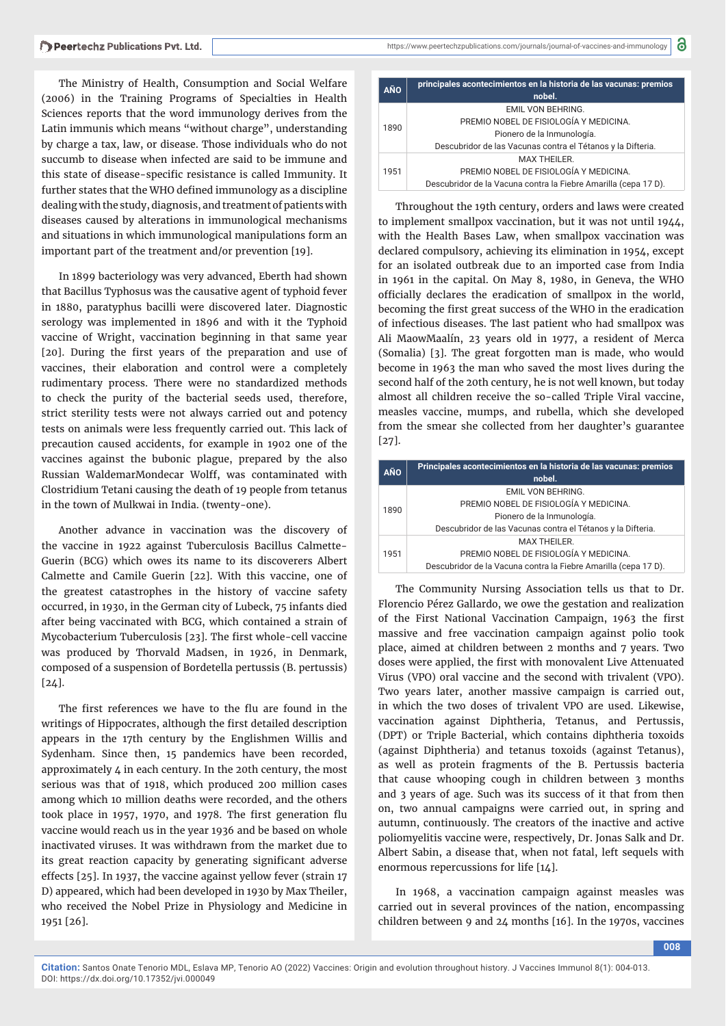The Ministry of Health, Consumption and Social Welfare (2006) in the Training Programs of Specialties in Health Sciences reports that the word immunology derives from the Latin immunis which means "without charge", understanding by charge a tax, law, or disease. Those individuals who do not succumb to disease when infected are said to be immune and this state of disease-specific resistance is called Immunity. It further states that the WHO defined immunology as a discipline dealing with the study, diagnosis, and treatment of patients with diseases caused by alterations in immunological mechanisms and situations in which immunological manipulations form an important part of the treatment and/or prevention [19].

In 1899 bacteriology was very advanced, Eberth had shown that Bacillus Typhosus was the causative agent of typhoid fever in 1880, paratyphus bacilli were discovered later. Diagnostic serology was implemented in 1896 and with it the Typhoid vaccine of Wright, vaccination beginning in that same year [20]. During the first years of the preparation and use of vaccines, their elaboration and control were a completely rudimentary process. There were no standardized methods to check the purity of the bacterial seeds used, therefore, strict sterility tests were not always carried out and potency tests on animals were less frequently carried out. This lack of precaution caused accidents, for example in 1902 one of the vaccines against the bubonic plague, prepared by the also Russian WaldemarMondecar Wolff, was contaminated with Clostridium Tetani causing the death of 19 people from tetanus in the town of Mulkwai in India. (twenty-one).

Another advance in vaccination was the discovery of the vaccine in 1922 against Tuberculosis Bacillus Calmette-Guerin (BCG) which owes its name to its discoverers Albert Calmette and Camile Guerin [22]. With this vaccine, one of the greatest catastrophes in the history of vaccine safety occurred, in 1930, in the German city of Lubeck, 75 infants died after being vaccinated with BCG, which contained a strain of Mycobacterium Tuberculosis [23]. The first whole-cell vaccine was produced by Thorvald Madsen, in 1926, in Denmark, composed of a suspension of Bordetella pertussis (B. pertussis) [24].

The first references we have to the flu are found in the writings of Hippocrates, although the first detailed description appears in the 17th century by the Englishmen Willis and Sydenham. Since then, 15 pandemics have been recorded, approximately  $\mu$  in each century. In the 20th century, the most serious was that of 1918, which produced 200 million cases among which 10 million deaths were recorded, and the others took place in 1957, 1970, and 1978. The first generation flu vaccine would reach us in the year 1936 and be based on whole inactivated viruses. It was withdrawn from the market due to its great reaction capacity by generating significant adverse effects [25]. In 1937, the vaccine against yellow fever (strain 17 D) appeared, which had been developed in 1930 by Max Theiler, who received the Nobel Prize in Physiology and Medicine in 1951 [26].

| <b>AÑO</b> | principales acontecimientos en la historia de las vacunas: premios<br>nobel. |
|------------|------------------------------------------------------------------------------|
| 1890       | EMIL VON BEHRING.                                                            |
|            | PREMIO NOBEL DE FISIOLOGÍA Y MEDICINA.                                       |
|            | Pionero de la Inmunología.                                                   |
|            | Descubridor de las Vacunas contra el Tétanos y la Difteria.                  |
| 1951       | <b>MAX THEILER.</b>                                                          |
|            | PREMIO NOBEL DE FISIOLOGÍA Y MEDICINA.                                       |
|            | Descubridor de la Vacuna contra la Fiebre Amarilla (cepa 17 D).              |

Throughout the 19th century, orders and laws were created to implement smallpox vaccination, but it was not until 1944, with the Health Bases Law, when smallpox vaccination was declared compulsory, achieving its elimination in 1954, except for an isolated outbreak due to an imported case from India in 1961 in the capital. On May 8, 1980, in Geneva, the WHO officially declares the eradication of smallpox in the world, becoming the first great success of the WHO in the eradication of infectious diseases. The last patient who had smallpox was Ali MaowMaalín, 23 years old in 1977, a resident of Merca (Somalia) [3]. The great forgotten man is made, who would become in 1963 the man who saved the most lives during the second half of the 20th century, he is not well known, but today almost all children receive the so-called Triple Viral vaccine, measles vaccine, mumps, and rubella, which she developed from the smear she collected from her daughter's guarantee [27].

| <b>AÑO</b> | Principales acontecimientos en la historia de las vacunas: premios<br>nobel. |
|------------|------------------------------------------------------------------------------|
| 1890       | EMIL VON BEHRING.                                                            |
|            | PREMIO NOBEL DE FISIOLOGÍA Y MEDICINA.                                       |
|            | Pionero de la Inmunología.                                                   |
|            | Descubridor de las Vacunas contra el Tétanos y la Difteria.                  |
| 1951       | MAX THEILER.                                                                 |
|            | PREMIO NOBEL DE FISIOLOGÍA Y MEDICINA.                                       |
|            | Descubridor de la Vacuna contra la Fiebre Amarilla (cepa 17 D).              |

The Community Nursing Association tells us that to Dr. Florencio Pérez Gallardo, we owe the gestation and realization of the First National Vaccination Campaign, 1963 the first massive and free vaccination campaign against polio took place, aimed at children between 2 months and 7 years. Two doses were applied, the first with monovalent Live Attenuated Virus (VPO) oral vaccine and the second with trivalent (VPO). Two years later, another massive campaign is carried out, in which the two doses of trivalent VPO are used. Likewise, vaccination against Diphtheria, Tetanus, and Pertussis, (DPT) or Triple Bacterial, which contains diphtheria toxoids (against Diphtheria) and tetanus toxoids (against Tetanus), as well as protein fragments of the B. Pertussis bacteria that cause whooping cough in children between 3 months and 3 years of age. Such was its success of it that from then on, two annual campaigns were carried out, in spring and autumn, continuously. The creators of the inactive and active poliomyelitis vaccine were, respectively, Dr. Jonas Salk and Dr. Albert Sabin, a disease that, when not fatal, left sequels with enormous repercussions for life [14].

In 1968, a vaccination campaign against measles was carried out in several provinces of the nation, encompassing children between 9 and 24 months [16]. In the 1970s, vaccines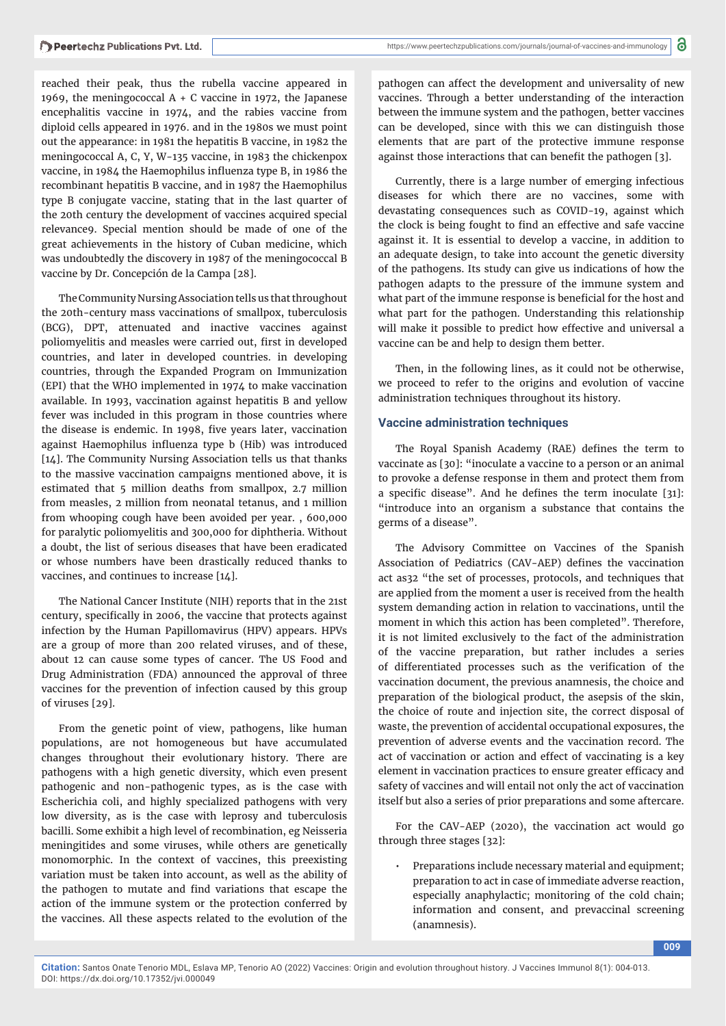reached their peak, thus the rubella vaccine appeared in 1969, the meningococcal  $A + C$  vaccine in 1972, the Japanese encephalitis vaccine in 1974, and the rabies vaccine from diploid cells appeared in 1976. and in the 1980s we must point out the appearance: in 1981 the hepatitis B vaccine, in 1982 the meningococcal A, C, Y, W-135 vaccine, in 1983 the chickenpox vaccine, in 1984 the Haemophilus influenza type B, in 1986 the recombinant hepatitis B vaccine, and in 1987 the Haemophilus type B conjugate vaccine, stating that in the last quarter of the 20th century the development of vaccines acquired special relevance9. Special mention should be made of one of the great achievements in the history of Cuban medicine, which was undoubtedly the discovery in 1987 of the meningococcal B vaccine by Dr. Concepción de la Campa [28].

The Community Nursing Association tells us that throughout the 20th-century mass vaccinations of smallpox, tuberculosis (BCG), DPT, attenuated and inactive vaccines against poliomyelitis and measles were carried out, first in developed countries, and later in developed countries. in developing countries, through the Expanded Program on Immunization (EPI) that the WHO implemented in 1974 to make vaccination available. In 1993, vaccination against hepatitis B and yellow fever was included in this program in those countries where the disease is endemic. In 1998, five years later, vaccination against Haemophilus influenza type b (Hib) was introduced [14]. The Community Nursing Association tells us that thanks to the massive vaccination campaigns mentioned above, it is estimated that 5 million deaths from smallpox, 2.7 million from measles, 2 million from neonatal tetanus, and 1 million from whooping cough have been avoided per year. , 600,000 for paralytic poliomyelitis and 300,000 for diphtheria. Without a doubt, the list of serious diseases that have been eradicated or whose numbers have been drastically reduced thanks to vaccines, and continues to increase [14].

The National Cancer Institute (NIH) reports that in the 21st century, specifically in 2006, the vaccine that protects against infection by the Human Papillomavirus (HPV) appears. HPVs are a group of more than 200 related viruses, and of these, about 12 can cause some types of cancer. The US Food and Drug Administration (FDA) announced the approval of three vaccines for the prevention of infection caused by this group of viruses [29].

From the genetic point of view, pathogens, like human populations, are not homogeneous but have accumulated changes throughout their evolutionary history. There are pathogens with a high genetic diversity, which even present pathogenic and non-pathogenic types, as is the case with Escherichia coli, and highly specialized pathogens with very low diversity, as is the case with leprosy and tuberculosis bacilli. Some exhibit a high level of recombination, eg Neisseria meningitides and some viruses, while others are genetically monomorphic. In the context of vaccines, this preexisting variation must be taken into account, as well as the ability of the pathogen to mutate and find variations that escape the action of the immune system or the protection conferred by the vaccines. All these aspects related to the evolution of the

pathogen can affect the development and universality of new vaccines. Through a better understanding of the interaction between the immune system and the pathogen, better vaccines can be developed, since with this we can distinguish those elements that are part of the protective immune response against those interactions that can benefit the pathogen [3].

Currently, there is a large number of emerging infectious diseases for which there are no vaccines, some with devastating consequences such as COVID-19, against which the clock is being fought to find an effective and safe vaccine against it. It is essential to develop a vaccine, in addition to an adequate design, to take into account the genetic diversity of the pathogens. Its study can give us indications of how the pathogen adapts to the pressure of the immune system and what part of the immune response is beneficial for the host and what part for the pathogen. Understanding this relationship will make it possible to predict how effective and universal a vaccine can be and help to design them better.

Then, in the following lines, as it could not be otherwise, we proceed to refer to the origins and evolution of vaccine administration techniques throughout its history.

#### **Vaccine administration techniques**

The Royal Spanish Academy (RAE) defines the term to vaccinate as [30]: "inoculate a vaccine to a person or an animal to provoke a defense response in them and protect them from a specific disease". And he defines the term inoculate [31]: "introduce into an organism a substance that contains the germs of a disease".

The Advisory Committee on Vaccines of the Spanish Association of Pediatrics (CAV-AEP) defines the vaccination act as32 "the set of processes, protocols, and techniques that are applied from the moment a user is received from the health system demanding action in relation to vaccinations, until the moment in which this action has been completed". Therefore, it is not limited exclusively to the fact of the administration of the vaccine preparation, but rather includes a series of differentiated processes such as the verification of the vaccination document, the previous anamnesis, the choice and preparation of the biological product, the asepsis of the skin, the choice of route and injection site, the correct disposal of waste, the prevention of accidental occupational exposures, the prevention of adverse events and the vaccination record. The act of vaccination or action and effect of vaccinating is a key element in vaccination practices to ensure greater efficacy and safety of vaccines and will entail not only the act of vaccination itself but also a series of prior preparations and some aftercare.

For the CAV-AEP (2020), the vaccination act would go through three stages [32]:

• Preparations include necessary material and equipment; preparation to act in case of immediate adverse reaction, especially anaphylactic; monitoring of the cold chain; information and consent, and prevaccinal screening (anamnesis).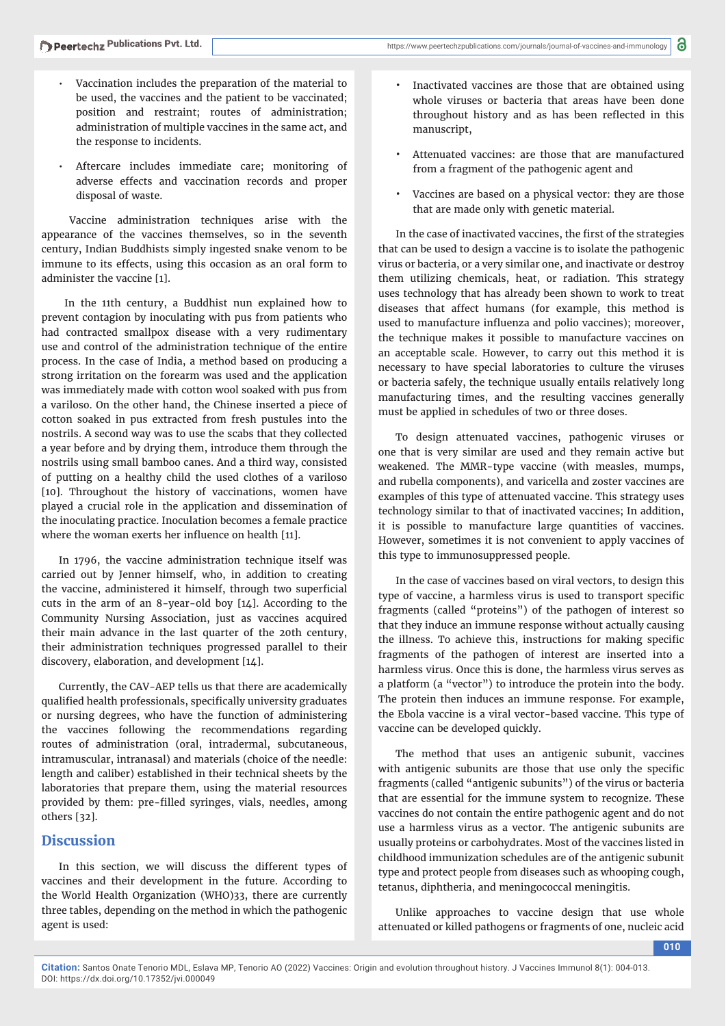- Vaccination includes the preparation of the material to be used, the vaccines and the patient to be vaccinated; position and restraint; routes of administration; administration of multiple vaccines in the same act, and the response to incidents.
- Aftercare includes immediate care; monitoring of adverse effects and vaccination records and proper disposal of waste.

 Vaccine administration techniques arise with the appearance of the vaccines themselves, so in the seventh century, Indian Buddhists simply ingested snake venom to be immune to its effects, using this occasion as an oral form to administer the vaccine [1].

 In the 11th century, a Buddhist nun explained how to prevent contagion by inoculating with pus from patients who had contracted smallpox disease with a very rudimentary use and control of the administration technique of the entire process. In the case of India, a method based on producing a strong irritation on the forearm was used and the application was immediately made with cotton wool soaked with pus from a variloso. On the other hand, the Chinese inserted a piece of cotton soaked in pus extracted from fresh pustules into the nostrils. A second way was to use the scabs that they collected a year before and by drying them, introduce them through the nostrils using small bamboo canes. And a third way, consisted of putting on a healthy child the used clothes of a variloso [10]. Throughout the history of vaccinations, women have played a crucial role in the application and dissemination of the inoculating practice. Inoculation becomes a female practice where the woman exerts her influence on health [11].

In 1796, the vaccine administration technique itself was carried out by Jenner himself, who, in addition to creating the vaccine, administered it himself, through two superficial cuts in the arm of an 8-year-old boy [14]. According to the Community Nursing Association, just as vaccines acquired their main advance in the last quarter of the 20th century, their administration techniques progressed parallel to their discovery, elaboration, and development [14].

Currently, the CAV-AEP tells us that there are academically qualified health professionals, specifically university graduates or nursing degrees, who have the function of administering the vaccines following the recommendations regarding routes of administration (oral, intradermal, subcutaneous, intramuscular, intranasal) and materials (choice of the needle: length and caliber) established in their technical sheets by the laboratories that prepare them, using the material resources provided by them: pre-filled syringes, vials, needles, among others [32].

## **Discussion**

In this section, we will discuss the different types of vaccines and their development in the future. According to the World Health Organization (WHO)33, there are currently three tables, depending on the method in which the pathogenic agent is used:

- Inactivated vaccines are those that are obtained using whole viruses or bacteria that areas have been done throughout history and as has been reflected in this manuscript,
- Attenuated vaccines: are those that are manufactured from a fragment of the pathogenic agent and
- Vaccines are based on a physical vector: they are those that are made only with genetic material.

In the case of inactivated vaccines, the first of the strategies that can be used to design a vaccine is to isolate the pathogenic virus or bacteria, or a very similar one, and inactivate or destroy them utilizing chemicals, heat, or radiation. This strategy uses technology that has already been shown to work to treat diseases that affect humans (for example, this method is used to manufacture influenza and polio vaccines); moreover, the technique makes it possible to manufacture vaccines on an acceptable scale. However, to carry out this method it is necessary to have special laboratories to culture the viruses or bacteria safely, the technique usually entails relatively long manufacturing times, and the resulting vaccines generally must be applied in schedules of two or three doses.

To design attenuated vaccines, pathogenic viruses or one that is very similar are used and they remain active but weakened. The MMR-type vaccine (with measles, mumps, and rubella components), and varicella and zoster vaccines are examples of this type of attenuated vaccine. This strategy uses technology similar to that of inactivated vaccines; In addition, it is possible to manufacture large quantities of vaccines. However, sometimes it is not convenient to apply vaccines of this type to immunosuppressed people.

In the case of vaccines based on viral vectors, to design this type of vaccine, a harmless virus is used to transport specific fragments (called "proteins") of the pathogen of interest so that they induce an immune response without actually causing the illness. To achieve this, instructions for making specific fragments of the pathogen of interest are inserted into a harmless virus. Once this is done, the harmless virus serves as a platform (a "vector") to introduce the protein into the body. The protein then induces an immune response. For example, the Ebola vaccine is a viral vector-based vaccine. This type of vaccine can be developed quickly.

The method that uses an antigenic subunit, vaccines with antigenic subunits are those that use only the specific fragments (called "antigenic subunits") of the virus or bacteria that are essential for the immune system to recognize. These vaccines do not contain the entire pathogenic agent and do not use a harmless virus as a vector. The antigenic subunits are usually proteins or carbohydrates. Most of the vaccines listed in childhood immunization schedules are of the antigenic subunit type and protect people from diseases such as whooping cough, tetanus, diphtheria, and meningococcal meningitis.

Unlike approaches to vaccine design that use whole attenuated or killed pathogens or fragments of one, nucleic acid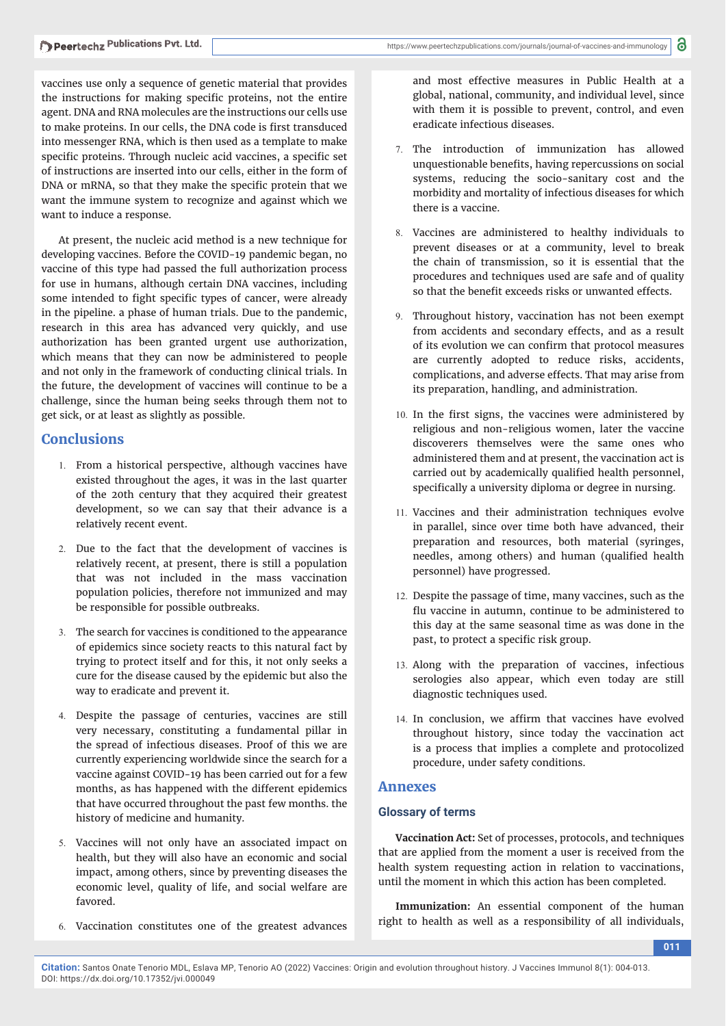vaccines use only a sequence of genetic material that provides the instructions for making specific proteins, not the entire agent. DNA and RNA molecules are the instructions our cells use to make proteins. In our cells, the DNA code is first transduced into messenger RNA, which is then used as a template to make specific proteins. Through nucleic acid vaccines, a specific set of instructions are inserted into our cells, either in the form of DNA or mRNA, so that they make the specific protein that we want the immune system to recognize and against which we want to induce a response.

At present, the nucleic acid method is a new technique for developing vaccines. Before the COVID-19 pandemic began, no vaccine of this type had passed the full authorization process for use in humans, although certain DNA vaccines, including some intended to fight specific types of cancer, were already in the pipeline. a phase of human trials. Due to the pandemic, research in this area has advanced very quickly, and use authorization has been granted urgent use authorization, which means that they can now be administered to people and not only in the framework of conducting clinical trials. In the future, the development of vaccines will continue to be a challenge, since the human being seeks through them not to get sick, or at least as slightly as possible.

## **Conclusions**

- 1. From a historical perspective, although vaccines have existed throughout the ages, it was in the last quarter of the 20th century that they acquired their greatest development, so we can say that their advance is a relatively recent event.
- 2. Due to the fact that the development of vaccines is relatively recent, at present, there is still a population that was not included in the mass vaccination population policies, therefore not immunized and may be responsible for possible outbreaks.
- 3. The search for vaccines is conditioned to the appearance of epidemics since society reacts to this natural fact by trying to protect itself and for this, it not only seeks a cure for the disease caused by the epidemic but also the way to eradicate and prevent it.
- 4. Despite the passage of centuries, vaccines are still very necessary, constituting a fundamental pillar in the spread of infectious diseases. Proof of this we are currently experiencing worldwide since the search for a vaccine against COVID-19 has been carried out for a few months, as has happened with the different epidemics that have occurred throughout the past few months. the history of medicine and humanity.
- 5. Vaccines will not only have an associated impact on health, but they will also have an economic and social impact, among others, since by preventing diseases the economic level, quality of life, and social welfare are favored.
- 6. Vaccination constitutes one of the greatest advances

DOI: https://dx.doi.org/10.17352/jvi.000049

and most effective measures in Public Health at a global, national, community, and individual level, since with them it is possible to prevent, control, and even eradicate infectious diseases.

- 7. The introduction of immunization has allowed unquestionable benefits, having repercussions on social systems, reducing the socio-sanitary cost and the morbidity and mortality of infectious diseases for which there is a vaccine.
- 8. Vaccines are administered to healthy individuals to prevent diseases or at a community, level to break the chain of transmission, so it is essential that the procedures and techniques used are safe and of quality so that the benefit exceeds risks or unwanted effects.
- 9. Throughout history, vaccination has not been exempt from accidents and secondary effects, and as a result of its evolution we can confirm that protocol measures are currently adopted to reduce risks, accidents, complications, and adverse effects. That may arise from its preparation, handling, and administration.
- 10. In the first signs, the vaccines were administered by religious and non-religious women, later the vaccine discoverers themselves were the same ones who administered them and at present, the vaccination act is carried out by academically qualified health personnel, specifically a university diploma or degree in nursing.
- 11. Vaccines and their administration techniques evolve in parallel, since over time both have advanced, their preparation and resources, both material (syringes, needles, among others) and human (qualified health personnel) have progressed.
- 12. Despite the passage of time, many vaccines, such as the flu vaccine in autumn, continue to be administered to this day at the same seasonal time as was done in the past, to protect a specific risk group.
- 13. Along with the preparation of vaccines, infectious serologies also appear, which even today are still diagnostic techniques used.
- 14. In conclusion, we affirm that vaccines have evolved throughout history, since today the vaccination act is a process that implies a complete and protocolized procedure, under safety conditions.

### **Annexes**

#### **Glossary of terms**

**Vaccination Act:** Set of processes, protocols, and techniques that are applied from the moment a user is received from the health system requesting action in relation to vaccinations, until the moment in which this action has been completed.

**Immunization:** An essential component of the human right to health as well as a responsibility of all individuals,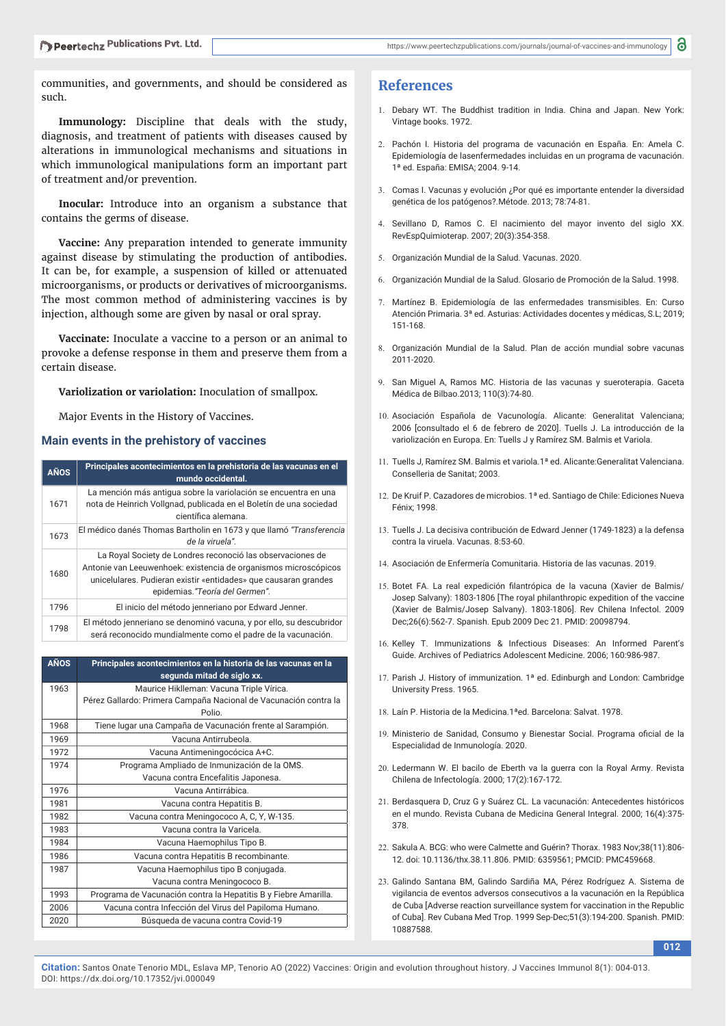communities, and governments, and should be considered as such.

**Immunology:** Discipline that deals with the study, diagnosis, and treatment of patients with diseases caused by alterations in immunological mechanisms and situations in which immunological manipulations form an important part of treatment and/or prevention.

**Inocular:** Introduce into an organism a substance that contains the germs of disease.

**Vaccine:** Any preparation intended to generate immunity against disease by stimulating the production of antibodies. It can be, for example, a suspension of killed or attenuated microorganisms, or products or derivatives of microorganisms. The most common method of administering vaccines is by injection, although some are given by nasal or oral spray.

**Vaccinate:** Inoculate a vaccine to a person or an animal to provoke a defense response in them and preserve them from a certain disease.

#### **Variolization or variolation:** Inoculation of smallpox.

Major Events in the History of Vaccines.

#### **Main events in the prehistory of vaccines**

| <b>AÑOS</b> | Principales acontecimientos en la prehistoria de las vacunas en el<br>mundo occidental.                                                                                                                                             |
|-------------|-------------------------------------------------------------------------------------------------------------------------------------------------------------------------------------------------------------------------------------|
| 1671        | La mención más antigua sobre la variolación se encuentra en una<br>nota de Heinrich Vollgnad, publicada en el Boletín de una sociedad<br>científica alemana.                                                                        |
| 1673        | El médico danés Thomas Bartholin en 1673 y que llamó "Transferencia<br>de la viruela".                                                                                                                                              |
| 1680        | La Royal Society de Londres reconoció las observaciones de<br>Antonie van Leeuwenhoek: existencia de organismos microscópicos<br>unicelulares. Pudieran existir «entidades» que causaran grandes<br>epidemias. "Teoría del Germen". |
| 1796        | El inicio del método jenneriano por Edward Jenner.                                                                                                                                                                                  |
| 1798        | El método jenneriano se denominó vacuna, y por ello, su descubridor<br>será reconocido mundialmente como el padre de la vacunación.                                                                                                 |

| <b>AÑOS</b> | Principales acontecimientos en la historia de las vacunas en la<br>segunda mitad de siglo xx. |
|-------------|-----------------------------------------------------------------------------------------------|
| 1963        | Maurice Hiklleman: Vacuna Triple Vírica.                                                      |
|             | Pérez Gallardo: Primera Campaña Nacional de Vacunación contra la<br>Polio                     |
| 1968        | Tiene lugar una Campaña de Vacunación frente al Sarampión.                                    |
| 1969        | Vacuna Antirrubeola.                                                                          |
| 1972        | Vacuna Antimeningocócica A+C.                                                                 |
| 1974        | Programa Ampliado de Inmunización de la OMS.                                                  |
|             | Vacuna contra Encefalitis Japonesa.                                                           |
| 1976        | Vacuna Antirrábica                                                                            |
| 1981        | Vacuna contra Hepatitis B.                                                                    |
| 1982        | Vacuna contra Meningococo A, C, Y, W-135.                                                     |
| 1983        | Vacuna contra la Varicela.                                                                    |
| 1984        | Vacuna Haemophilus Tipo B.                                                                    |
| 1986        | Vacuna contra Hepatitis B recombinante.                                                       |
| 1987        | Vacuna Haemophilus tipo B conjugada.                                                          |
|             | Vacuna contra Meningococo B.                                                                  |
| 1993        | Programa de Vacunación contra la Hepatitis B y Fiebre Amarilla.                               |
| 2006        | Vacuna contra Infección del Virus del Papiloma Humano.                                        |
| 2020        | Búsqueda de vacuna contra Covid-19                                                            |

## **References**

- 1. Debary WT. The Buddhist tradition in India. China and Japan. New York: Vintage books. 1972.
- 2. Pachón I. Historia del programa de vacunación en España. En: Amela C. Epidemiología de lasenfermedades incluidas en un programa de vacunación. 1ª ed. España: EMISA; 2004. 9-14.
- 3. Comas I. Vacunas y evolución ¿Por qué es importante entender la diversidad genética de los patógenos?.Métode. 2013; 78:74-81.
- 4. Sevillano D, Ramos C. El nacimiento del mayor invento del siglo XX. RevEspQuimioterap. 2007; 20(3):354-358.
- 5. Organización Mundial de la Salud. Vacunas. 2020.
- 6. Organización Mundial de la Salud. Glosario de Promoción de la Salud. 1998.
- 7. Martínez B. Epidemiología de las enfermedades transmisibles. En: Curso Atención Primaria. 3ª ed. Asturias: Actividades docentes y médicas, S.L; 2019; 151-168.
- 8. Organización Mundial de la Salud. Plan de acción mundial sobre vacunas 2011-2020.
- San Miguel A, Ramos MC. Historia de las vacunas y sueroterapia. Gaceta Médica de Bilbao.2013; 110(3):74-80.
- 10. Asociación Española de Vacunología. Alicante: Generalitat Valenciana; 2006 [consultado el 6 de febrero de 2020]. Tuells J. La introducción de la variolización en Europa. En: Tuells J y Ramírez SM. Balmis et Variola.
- 11. Tuells J, Ramírez SM. Balmis et variola.1ª ed. Alicante:Generalitat Valenciana. Conselleria de Sanitat; 2003.
- 12. De Kruif P. Cazadores de microbios. 1ª ed. Santiago de Chile: Ediciones Nueva Fénix; 1998.
- 13. Tuells J. La decisiva contribución de Edward Jenner (1749-1823) a la defensa contra la viruela. Vacunas. 8:53-60.
- 14. Asociación de Enfermería Comunitaria. Historia de las vacunas. 2019.
- 15. Botet FA. La real expedición filantrópica de la vacuna (Xavier de Balmis/ Josep Salvany): 1803-1806 [The royal philanthropic expedition of the vaccine (Xavier de Balmis/Josep Salvany). 1803-1806]. Rev Chilena Infectol. 2009 Dec;26(6):562-7. Spanish. Epub 2009 Dec 21. PMID: 20098794.
- 16. Kelley T. Immunizations & Infectious Diseases: An Informed Parent's Guide. Archives of Pediatrics Adolescent Medicine. 2006; 160:986-987.
- 17. Parish J. History of immunization. 1<sup>ª</sup> ed. Edinburgh and London: Cambridge University Press. 1965.
- 18. Laín P. Historia de la Medicina 1ªed. Barcelona: Salvat. 1978.
- 19. Ministerio de Sanidad, Consumo y Bienestar Social. Programa oficial de la Especialidad de Inmunología. 2020.
- 20. Ledermann W. El bacilo de Eberth va la guerra con la Royal Army. Revista Chilena de Infectología. 2000; 17(2):167-172.
- 21. Berdasquera D, Cruz G y Suárez CL. La vacunación: Antecedentes históricos en el mundo. Revista Cubana de Medicina General Integral. 2000; 16(4):375- 378.
- 22. Sakula A. BCG: who were Calmette and Guérin? Thorax. 1983 Nov;38(11):806- 12. doi: 10.1136/thx.38.11.806. PMID: 6359561; PMCID: PMC459668.
- 23. Galindo Santana BM, Galindo Sardiña MA, Pérez Rodríguez A. Sistema de vigilancia de eventos adversos consecutivos a la vacunación en la República de Cuba [Adverse reaction surveillance system for vaccination in the Republic of Cuba]. Rev Cubana Med Trop. 1999 Sep-Dec;51(3):194-200. Spanish. PMID: 10887588.